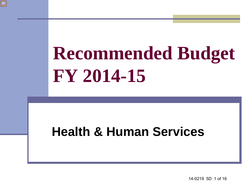

#### **Health & Human Services**

14-0219 5D 1 of 16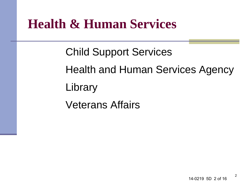#### **Health & Human Services**

Child Support Services Health and Human Services Agency **Library** Veterans Affairs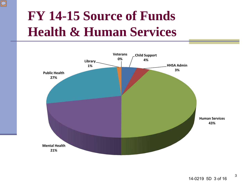### **FY 14-15 Source of Funds Health & Human Services**

 $\boxed{\bigcirc}$ 

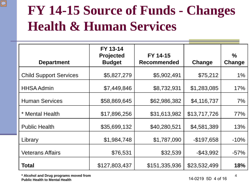### **FY 14-15 Source of Funds - Changes Health & Human Services**

| <b>Department</b>             | FY 13-14<br><b>Projected</b><br><b>Budget</b> | FY 14-15<br><b>Recommended</b> | Change        | $\%$<br>Change |
|-------------------------------|-----------------------------------------------|--------------------------------|---------------|----------------|
| <b>Child Support Services</b> | \$5,827,279                                   | \$5,902,491                    | \$75,212      | $1\%$          |
| <b>HHSA Admin</b>             | \$7,449,846                                   | \$8,732,931                    | \$1,283,085   | 17%            |
| <b>Human Services</b>         | \$58,869,645                                  | \$62,986,382                   | \$4,116,737   | 7%             |
| * Mental Health               | \$17,896,256                                  | \$31,613,982                   | \$13,717,726  | 77%            |
| <b>Public Health</b>          | \$35,699,132                                  | \$40,280,521                   | \$4,581,389   | 13%            |
| Library                       | \$1,984,748                                   | \$1,787,090                    | $-$ \$197,658 | $-10%$         |
| <b>Veterans Affairs</b>       | \$76,531                                      | \$32,539                       | $-$ \$43,992  | $-57%$         |
| <b>Total</b>                  | \$127,803,437                                 | \$151,335,936                  | \$23,532,499  | 18%            |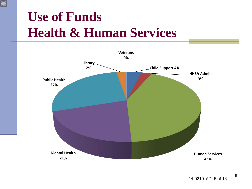#### **Use of Funds Health & Human Services**

 $\boxed{\bigcirc}$ 

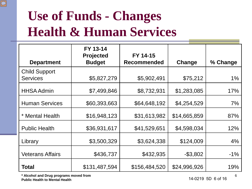# **Use of Funds - Changes Health & Human Services**

| <b>Department</b>                       | FY 13-14<br><b>Projected</b><br><b>Budget</b> | FY 14-15<br><b>Recommended</b> | Change       | % Change |
|-----------------------------------------|-----------------------------------------------|--------------------------------|--------------|----------|
| <b>Child Support</b><br><b>Services</b> | \$5,827,279                                   | \$5,902,491                    | \$75,212     | 1%       |
| <b>HHSA Admin</b>                       | \$7,499,846                                   | \$8,732,931                    | \$1,283,085  | 17%      |
| <b>Human Services</b>                   | \$60,393,663                                  | \$64,648,192                   | \$4,254,529  | 7%       |
| * Mental Health                         | \$16,948,123                                  | \$31,613,982                   | \$14,665,859 | 87%      |
| <b>Public Health</b>                    | \$36,931,617                                  | \$41,529,651                   | \$4,598,034  | 12%      |
| Library                                 | \$3,500,329                                   | \$3,624,338                    | \$124,009    | 4%       |
| <b>Veterans Affairs</b>                 | \$436,737                                     | \$432,935                      | $-$ \$3,802  | $-1\%$   |
| Total                                   | \$131,487,594                                 | \$156,484,520                  | \$24,996,926 | 19%      |

**\* Alcohol and Drug programs moved from Public Health to Mental Health** 

 $\boxed{\bigcirc}$ 

14-0219 5D 6 of 16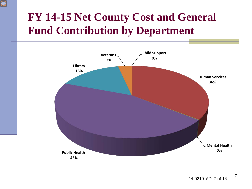#### **FY 14-15 Net County Cost and General Fund Contribution by Department**

 $\overline{\bigcirc}$ 

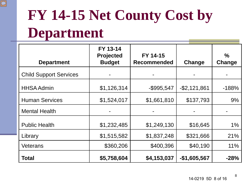

# **FY 14-15 Net County Cost by Department**

| <b>Department</b>             | FY 13-14<br><b>Projected</b><br><b>Budget</b> | FY 14-15<br><b>Recommended</b> | Change          | $\%$<br>Change |
|-------------------------------|-----------------------------------------------|--------------------------------|-----------------|----------------|
| <b>Child Support Services</b> |                                               |                                |                 |                |
| <b>HHSA Admin</b>             | \$1,126,314                                   | $-$ \$995,547                  | $-$ \$2,121,861 | $-188%$        |
| <b>Human Services</b>         | \$1,524,017                                   | \$1,661,810                    | \$137,793       | 9%             |
| <b>Mental Health</b>          |                                               |                                |                 |                |
| <b>Public Health</b>          | \$1,232,485                                   | \$1,249,130                    | \$16,645        | $1\%$          |
| Library                       | \$1,515,582                                   | \$1,837,248                    | \$321,666       | 21%            |
| <b>Veterans</b>               | \$360,206                                     | \$400,396                      | \$40,190        | 11%            |
| Total                         | \$5,758,604                                   | \$4,153,037                    | $-$1,605,567$   | $-28%$         |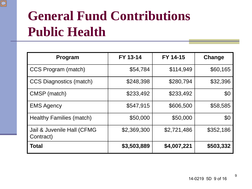### **General Fund Contributions Public Health**

 $\boxed{\bigcirc}$ 

| Program                                 | FY 13-14    | FY 14-15    | Change    |
|-----------------------------------------|-------------|-------------|-----------|
| CCS Program (match)                     | \$54,784    | \$114,949   | \$60,165  |
| <b>CCS Diagnostics (match)</b>          | \$248,398   | \$280,794   | \$32,396  |
| CMSP (match)                            | \$233,492   | \$233,492   | \$0       |
| <b>EMS Agency</b>                       | \$547,915   | \$606,500   | \$58,585  |
| Healthy Families (match)                | \$50,000    | \$50,000    | \$0       |
| Jail & Juvenile Hall (CFMG<br>Contract) | \$2,369,300 | \$2,721,486 | \$352,186 |
| <b>Total</b>                            | \$3,503,889 | \$4,007,221 | \$503,332 |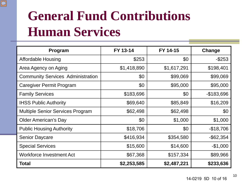# **General Fund Contributions Human Services**

 $\boxed{\bigcirc}$ 

| Program                                  | FY 13-14    | FY 14-15    | Change       |
|------------------------------------------|-------------|-------------|--------------|
| <b>Affordable Housing</b>                | \$253       | \$0         | $-$ \$253    |
| Area Agency on Aging                     | \$1,418,890 | \$1,617,291 | \$198,401    |
| <b>Community Services Administration</b> | \$0         | \$99,069    | \$99,069     |
| <b>Caregiver Permit Program</b>          | \$0         | \$95,000    | \$95,000     |
| <b>Family Services</b>                   | \$183,696   | \$0         | $-$183,696$  |
| <b>IHSS Public Authority</b>             | \$69,640    | \$85,849    | \$16,209     |
| <b>Multiple Senior Services Program</b>  | \$62,498    | \$62,498    | \$0          |
| <b>Older American's Day</b>              | \$0         | \$1,000     | \$1,000      |
| <b>Public Housing Authority</b>          | \$18,706    | \$0         | $-$18,706$   |
| <b>Senior Daycare</b>                    | \$416,934   | \$354,580   | $-$ \$62,354 |
| <b>Special Services</b>                  | \$15,600    | \$14,600    | $-$1,000$    |
| <b>Workforce Investment Act</b>          | \$67,368    | \$157,334   | \$89,966     |
| <b>Total</b>                             | \$2,253,585 | \$2,487,221 | \$233,636    |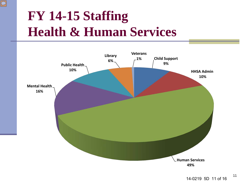### **FY 14-15 Staffing Health & Human Services**

 $\boxed{\bigcirc}$ 

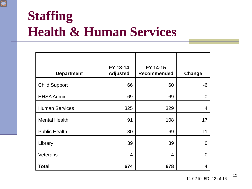#### **Staffing Health & Human Services**

 $\boxed{\bigcirc}$ 

|                       | FY 13-14        | FY 14-15           |                |
|-----------------------|-----------------|--------------------|----------------|
| <b>Department</b>     | <b>Adjusted</b> | <b>Recommended</b> | Change         |
| <b>Child Support</b>  | 66              | 60                 | -6             |
| <b>HHSA Admin</b>     | 69              | 69                 | $\overline{0}$ |
| <b>Human Services</b> | 325             | 329                | $\overline{4}$ |
| <b>Mental Health</b>  | 91              | 108                | 17             |
| <b>Public Health</b>  | 80              | 69                 | $-11$          |
| Library               | 39              | 39                 | $\overline{0}$ |
| Veterans              | 4               | 4                  | $\Omega$       |
| Total                 | 674             | 678                | 4              |

14-0219 5D 12 of 16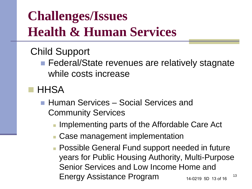# **Challenges/Issues Health & Human Services**

#### Child Support

- Federal/State revenues are relatively stagnate while costs increase
- **HHSA** 
	- Human Services Social Services and Community Services
		- Implementing parts of the Affordable Care Act
		- **Case management implementation**
		- 13 **Possible General Fund support needed in future** years for Public Housing Authority, Multi-Purpose Senior Services and Low Income Home and Energy Assistance Program 14-0219 5D 13 of 16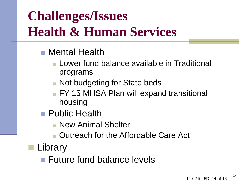# **Challenges/Issues Health & Human Services**

- **Mental Health** 
	- Lower fund balance available in Traditional programs
	- **Not budgeting for State beds**
	- **FY 15 MHSA Plan will expand transitional** housing
- **Public Health** 
	- **New Animal Shelter**
	- **Dutreach for the Affordable Care Act**
- **Library** 
	- Future fund balance levels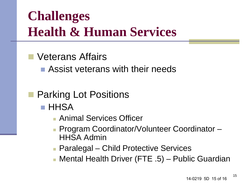### **Challenges Health & Human Services**

#### Veterans Affairs

**Assist veterans with their needs** 

#### Parking Lot Positions

- **HHSA** 
	- Animal Services Officer
	- **Program Coordinator/Volunteer Coordinator** HHSA Admin
	- **Paralegal Child Protective Services**
	- Mental Health Driver (FTE .5) Public Guardian